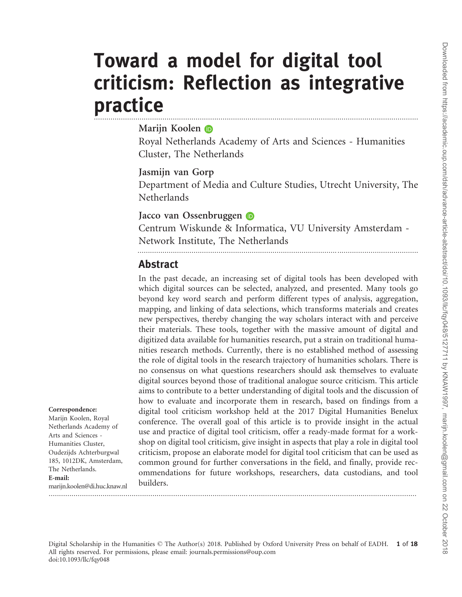# Toward a model for digital tool criticism: Reflection as integrative practice

Marijn Koolen **D** 

Royal Netherlands Academy of Arts and Sciences - Humanities Cluster, The Netherlands

Jasmijn van Gorp

Department of Media and Culture Studies, Utrecht University, The **Netherlands** 

Jacco van Ossenbruggen **D** 

Centrum Wiskunde & Informatica, VU University Amsterdam - Network Institute, The Netherlands .......................................................................................................................................

#### Abstract

In the past decade, an increasing set of digital tools has been developed with which digital sources can be selected, analyzed, and presented. Many tools go beyond key word search and perform different types of analysis, aggregation, mapping, and linking of data selections, which transforms materials and creates new perspectives, thereby changing the way scholars interact with and perceive their materials. These tools, together with the massive amount of digital and digitized data available for humanities research, put a strain on traditional humanities research methods. Currently, there is no established method of assessing the role of digital tools in the research trajectory of humanities scholars. There is no consensus on what questions researchers should ask themselves to evaluate digital sources beyond those of traditional analogue source criticism. This article aims to contribute to a better understanding of digital tools and the discussion of how to evaluate and incorporate them in research, based on findings from a digital tool criticism workshop held at the 2017 Digital Humanities Benelux conference. The overall goal of this article is to provide insight in the actual use and practice of digital tool criticism, offer a ready-made format for a workshop on digital tool criticism, give insight in aspects that play a role in digital tool criticism, propose an elaborate model for digital tool criticism that can be used as common ground for further conversations in the field, and finally, provide recommendations for future workshops, researchers, data custodians, and tool builders.

#### Correspondence:

................................................................................................................................................................................. Marijn Koolen, Royal Netherlands Academy of Arts and Sciences - Humanities Cluster, Oudezijds Achterburgwal 185, 1012DK, Amsterdam, The Netherlands. E-mail: marijn.koolen@di.huc.knaw.nl

Digital Scholarship in the Humanities © The Author(s) 2018. Published by Oxford University Press on behalf of EADH. 1 of 18 All rights reserved. For permissions, please email: journals.permissions@oup.com doi:10.1093/llc/fqy048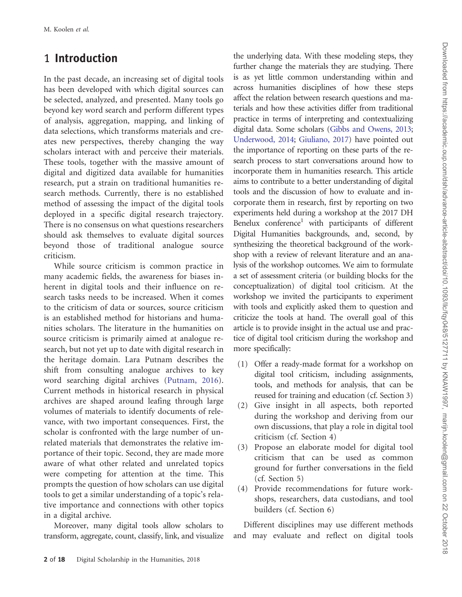# 1 Introduction

In the past decade, an increasing set of digital tools has been developed with which digital sources can be selected, analyzed, and presented. Many tools go beyond key word search and perform different types of analysis, aggregation, mapping, and linking of data selections, which transforms materials and creates new perspectives, thereby changing the way scholars interact with and perceive their materials. These tools, together with the massive amount of digital and digitized data available for humanities research, put a strain on traditional humanities research methods. Currently, there is no established method of assessing the impact of the digital tools deployed in a specific digital research trajectory. There is no consensus on what questions researchers should ask themselves to evaluate digital sources beyond those of traditional analogue source criticism.

While source criticism is common practice in many academic fields, the awareness for biases inherent in digital tools and their influence on research tasks needs to be increased. When it comes to the criticism of data or sources, source criticism is an established method for historians and humanities scholars. The literature in the humanities on source criticism is primarily aimed at analogue research, but not yet up to date with digital research in the heritage domain. Lara Putnam describes the shift from consulting analogue archives to key word searching digital archives [\(Putnam, 2016\)](#page-16-0). Current methods in historical research in physical archives are shaped around leafing through large volumes of materials to identify documents of relevance, with two important consequences. First, the scholar is confronted with the large number of unrelated materials that demonstrates the relative importance of their topic. Second, they are made more aware of what other related and unrelated topics were competing for attention at the time. This prompts the question of how scholars can use digital tools to get a similar understanding of a topic's relative importance and connections with other topics in a digital archive.

Moreover, many digital tools allow scholars to transform, aggregate, count, classify, link, and visualize

the underlying data. With these modeling steps, they further change the materials they are studying. There is as yet little common understanding within and across humanities disciplines of how these steps affect the relation between research questions and materials and how these activities differ from traditional practice in terms of interpreting and contextualizing digital data. Some scholars [\(Gibbs and Owens, 2013;](#page-16-0) [Underwood, 2014;](#page-16-0) [Giuliano, 2017](#page-16-0)) have pointed out the importance of reporting on these parts of the research process to start conversations around how to incorporate them in humanities research. This article aims to contribute to a better understanding of digital tools and the discussion of how to evaluate and incorporate them in research, first by reporting on two experiments held during a workshop at the 2017 DH Benelux conference<sup>1</sup> with participants of different Digital Humanities backgrounds, and, second, by synthesizing the theoretical background of the workshop with a review of relevant literature and an analysis of the workshop outcomes. We aim to formulate a set of assessment criteria (or building blocks for the conceptualization) of digital tool criticism. At the workshop we invited the participants to experiment with tools and explicitly asked them to question and criticize the tools at hand. The overall goal of this article is to provide insight in the actual use and practice of digital tool criticism during the workshop and more specifically:

- (1) Offer a ready-made format for a workshop on digital tool criticism, including assignments, tools, and methods for analysis, that can be reused for training and education (cf. Section 3)
- (2) Give insight in all aspects, both reported during the workshop and deriving from our own discussions, that play a role in digital tool criticism (cf. Section 4)
- (3) Propose an elaborate model for digital tool criticism that can be used as common ground for further conversations in the field (cf. Section 5)
- (4) Provide recommendations for future workshops, researchers, data custodians, and tool builders (cf. Section 6)

Different disciplines may use different methods and may evaluate and reflect on digital tools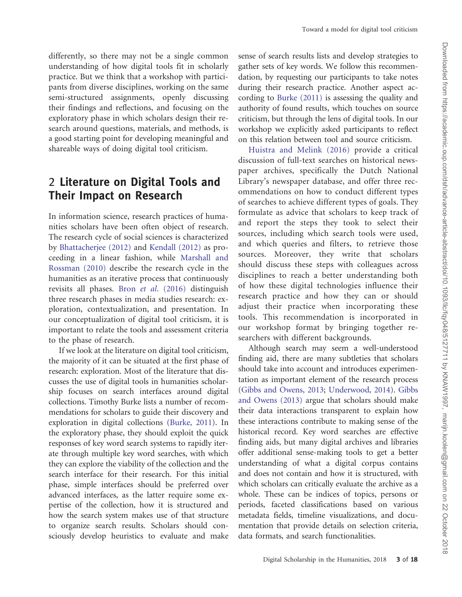differently, so there may not be a single common understanding of how digital tools fit in scholarly practice. But we think that a workshop with participants from diverse disciplines, working on the same semi-structured assignments, openly discussing their findings and reflections, and focusing on the exploratory phase in which scholars design their research around questions, materials, and methods, is a good starting point for developing meaningful and shareable ways of doing digital tool criticism.

## 2 Literature on Digital Tools and Their Impact on Research

In information science, research practices of humanities scholars have been often object of research. The research cycle of social sciences is characterized by [Bhattacherjee \(2012\)](#page-16-0) and [Kendall \(2012\)](#page-16-0) as proceeding in a linear fashion, while [Marshall and](#page-16-0) [Rossman \(2010\)](#page-16-0) describe the research cycle in the humanities as an iterative process that continuously revisits all phases. Bron et al[. \(2016\)](#page-16-0) distinguish three research phases in media studies research: exploration, contextualization, and presentation. In our conceptualization of digital tool criticism, it is important to relate the tools and assessment criteria to the phase of research.

If we look at the literature on digital tool criticism, the majority of it can be situated at the first phase of research: exploration. Most of the literature that discusses the use of digital tools in humanities scholarship focuses on search interfaces around digital collections. Timothy Burke lists a number of recommendations for scholars to guide their discovery and exploration in digital collections [\(Burke, 2011](#page-16-0)). In the exploratory phase, they should exploit the quick responses of key word search systems to rapidly iterate through multiple key word searches, with which they can explore the viability of the collection and the search interface for their research. For this initial phase, simple interfaces should be preferred over advanced interfaces, as the latter require some expertise of the collection, how it is structured and how the search system makes use of that structure to organize search results. Scholars should consciously develop heuristics to evaluate and make sense of search results lists and develop strategies to gather sets of key words. We follow this recommendation, by requesting our participants to take notes during their research practice. Another aspect according to [Burke \(2011\)](#page-16-0) is assessing the quality and authority of found results, which touches on source criticism, but through the lens of digital tools. In our workshop we explicitly asked participants to reflect on this relation between tool and source criticism.

[Huistra and Melink \(2016\)](#page-16-0) provide a critical discussion of full-text searches on historical newspaper archives, specifically the Dutch National Library's newspaper database, and offer three recommendations on how to conduct different types of searches to achieve different types of goals. They formulate as advice that scholars to keep track of and report the steps they took to select their sources, including which search tools were used, and which queries and filters, to retrieve those sources. Moreover, they write that scholars should discuss these steps with colleagues across disciplines to reach a better understanding both of how these digital technologies influence their research practice and how they can or should adjust their practice when incorporating these tools. This recommendation is incorporated in our workshop format by bringing together researchers with different backgrounds.

Although search may seem a well-understood finding aid, there are many subtleties that scholars should take into account and introduces experimentation as important element of the research process [\(Gibbs and Owens, 2013](#page-16-0); [Underwood, 2014](#page-16-0)). [Gibbs](#page-16-0) [and Owens \(2013\)](#page-16-0) argue that scholars should make their data interactions transparent to explain how these interactions contribute to making sense of the historical record. Key word searches are effective finding aids, but many digital archives and libraries offer additional sense-making tools to get a better understanding of what a digital corpus contains and does not contain and how it is structured, with which scholars can critically evaluate the archive as a whole. These can be indices of topics, persons or periods, faceted classifications based on various metadata fields, timeline visualizations, and documentation that provide details on selection criteria, data formats, and search functionalities.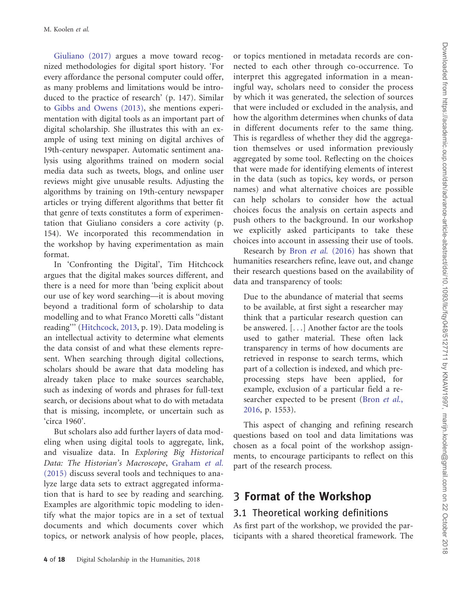[Giuliano \(2017\)](#page-16-0) argues a move toward recognized methodologies for digital sport history. 'For every affordance the personal computer could offer, as many problems and limitations would be introduced to the practice of research' (p. 147). Similar to [Gibbs and Owens \(2013\),](#page-16-0) she mentions experimentation with digital tools as an important part of digital scholarship. She illustrates this with an example of using text mining on digital archives of 19th-century newspaper. Automatic sentiment analysis using algorithms trained on modern social media data such as tweets, blogs, and online user reviews might give unusable results. Adjusting the algorithms by training on 19th-century newspaper articles or trying different algorithms that better fit that genre of texts constitutes a form of experimentation that Giuliano considers a core activity (p. 154). We incorporated this recommendation in the workshop by having experimentation as main format.

In 'Confronting the Digital', Tim Hitchcock argues that the digital makes sources different, and there is a need for more than 'being explicit about our use of key word searching—it is about moving beyond a traditional form of scholarship to data modelling and to what Franco Moretti calls ''distant reading''' ([Hitchcock, 2013,](#page-16-0) p. 19). Data modeling is an intellectual activity to determine what elements the data consist of and what these elements represent. When searching through digital collections, scholars should be aware that data modeling has already taken place to make sources searchable, such as indexing of words and phrases for full-text search, or decisions about what to do with metadata that is missing, incomplete, or uncertain such as 'circa 1960'.

But scholars also add further layers of data modeling when using digital tools to aggregate, link, and visualize data. In Exploring Big Historical Data: The Historian's Macroscope, [Graham](#page-16-0) et al. [\(2015\)](#page-16-0) discuss several tools and techniques to analyze large data sets to extract aggregated information that is hard to see by reading and searching. Examples are algorithmic topic modeling to identify what the major topics are in a set of textual documents and which documents cover which topics, or network analysis of how people, places, or topics mentioned in metadata records are connected to each other through co-occurrence. To interpret this aggregated information in a meaningful way, scholars need to consider the process by which it was generated, the selection of sources that were included or excluded in the analysis, and how the algorithm determines when chunks of data in different documents refer to the same thing. This is regardless of whether they did the aggregation themselves or used information previously aggregated by some tool. Reflecting on the choices that were made for identifying elements of interest in the data (such as topics, key words, or person names) and what alternative choices are possible can help scholars to consider how the actual choices focus the analysis on certain aspects and push others to the background. In our workshop we explicitly asked participants to take these choices into account in assessing their use of tools.

Research by Bron et al. [\(2016\)](#page-16-0) has shown that humanities researchers refine, leave out, and change their research questions based on the availability of data and transparency of tools:

Due to the abundance of material that seems to be available, at first sight a researcher may think that a particular research question can be answered. [...] Another factor are the tools used to gather material. These often lack transparency in terms of how documents are retrieved in response to search terms, which part of a collection is indexed, and which preprocessing steps have been applied, for example, exclusion of a particular field a researcher expected to be present (Bron [et al.](#page-16-0), [2016](#page-16-0), p. 1553).

This aspect of changing and refining research questions based on tool and data limitations was chosen as a focal point of the workshop assignments, to encourage participants to reflect on this part of the research process.

## 3 Format of the Workshop

#### 3.1 Theoretical working definitions

As first part of the workshop, we provided the participants with a shared theoretical framework. The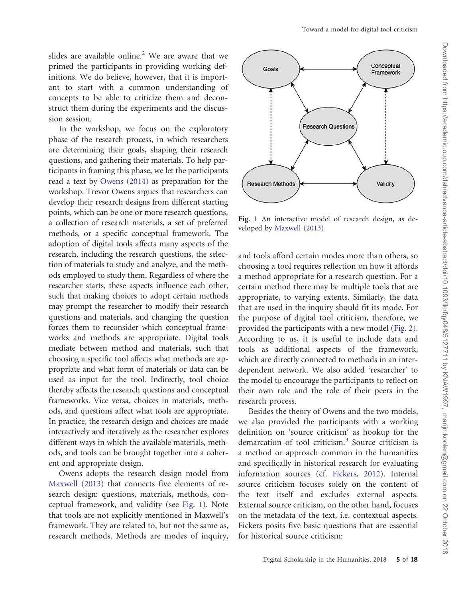<span id="page-4-0"></span>slides are available online. $2$  We are aware that we primed the participants in providing working definitions. We do believe, however, that it is important to start with a common understanding of concepts to be able to criticize them and deconstruct them during the experiments and the discussion session.

In the workshop, we focus on the exploratory phase of the research process, in which researchers are determining their goals, shaping their research questions, and gathering their materials. To help participants in framing this phase, we let the participants read a text by [Owens \(2014\)](#page-16-0) as preparation for the workshop. Trevor Owens argues that researchers can develop their research designs from different starting points, which can be one or more research questions, a collection of research materials, a set of preferred methods, or a specific conceptual framework. The adoption of digital tools affects many aspects of the research, including the research questions, the selection of materials to study and analyze, and the methods employed to study them. Regardless of where the researcher starts, these aspects influence each other, such that making choices to adopt certain methods may prompt the researcher to modify their research questions and materials, and changing the question forces them to reconsider which conceptual frameworks and methods are appropriate. Digital tools mediate between method and materials, such that choosing a specific tool affects what methods are appropriate and what form of materials or data can be used as input for the tool. Indirectly, tool choice thereby affects the research questions and conceptual frameworks. Vice versa, choices in materials, methods, and questions affect what tools are appropriate. In practice, the research design and choices are made interactively and iteratively as the researcher explores different ways in which the available materials, methods, and tools can be brought together into a coherent and appropriate design.

Owens adopts the research design model from [Maxwell \(2013\)](#page-16-0) that connects five elements of research design: questions, materials, methods, conceptual framework, and validity (see Fig. 1). Note that tools are not explicitly mentioned in Maxwell's framework. They are related to, but not the same as, research methods. Methods are modes of inquiry,



Fig. 1 An interactive model of research design, as developed by [Maxwell \(2013\)](#page-16-0)

and tools afford certain modes more than others, so choosing a tool requires reflection on how it affords a method appropriate for a research question. For a certain method there may be multiple tools that are appropriate, to varying extents. Similarly, the data that are used in the inquiry should fit its mode. For the purpose of digital tool criticism, therefore, we provided the participants with a new model [\(Fig. 2](#page-5-0)). According to us, it is useful to include data and tools as additional aspects of the framework, which are directly connected to methods in an interdependent network. We also added 'researcher' to the model to encourage the participants to reflect on their own role and the role of their peers in the research process.

Besides the theory of Owens and the two models, we also provided the participants with a working definition on 'source criticism' as hookup for the demarcation of tool criticism.<sup>3</sup> Source criticism is a method or approach common in the humanities and specifically in historical research for evaluating information sources (cf. [Fickers, 2012](#page-16-0)). Internal source criticism focuses solely on the content of the text itself and excludes external aspects. External source criticism, on the other hand, focuses on the metadata of the text, i.e. contextual aspects. Fickers posits five basic questions that are essential for historical source criticism: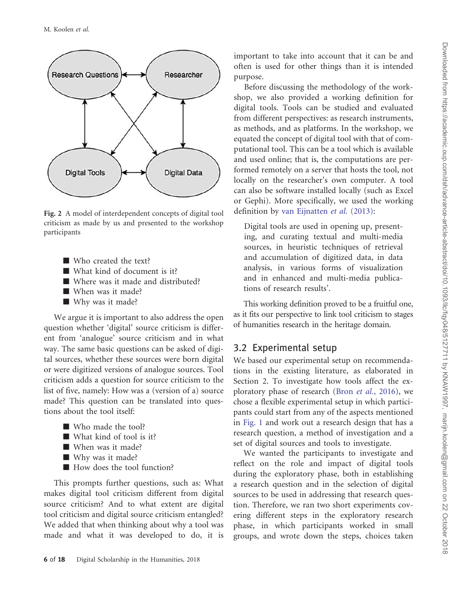<span id="page-5-0"></span>

Fig. 2 A model of interdependent concepts of digital tool criticism as made by us and presented to the workshop participants

- Who created the text?
- What kind of document is it?
- Where was it made and distributed?
- When was it made?
- Why was it made?

We argue it is important to also address the open question whether 'digital' source criticism is different from 'analogue' source criticism and in what way. The same basic questions can be asked of digital sources, whether these sources were born digital or were digitized versions of analogue sources. Tool criticism adds a question for source criticism to the list of five, namely: How was a (version of a) source made? This question can be translated into questions about the tool itself:

- Who made the tool?
- What kind of tool is it?
- When was it made?
- Why was it made?
- $\blacksquare$  How does the tool function?

This prompts further questions, such as: What makes digital tool criticism different from digital source criticism? And to what extent are digital tool criticism and digital source criticism entangled? We added that when thinking about why a tool was made and what it was developed to do, it is

important to take into account that it can be and often is used for other things than it is intended purpose.

Before discussing the methodology of the workshop, we also provided a working definition for digital tools. Tools can be studied and evaluated from different perspectives: as research instruments, as methods, and as platforms. In the workshop, we equated the concept of digital tool with that of computational tool. This can be a tool which is available and used online; that is, the computations are performed remotely on a server that hosts the tool, not locally on the researcher's own computer. A tool can also be software installed locally (such as Excel or Gephi). More specifically, we used the working definition by [van Eijnatten](#page-16-0) et al. (2013):

Digital tools are used in opening up, presenting, and curating textual and multi-media sources, in heuristic techniques of retrieval and accumulation of digitized data, in data analysis, in various forms of visualization and in enhanced and multi-media publications of research results'.

This working definition proved to be a fruitful one, as it fits our perspective to link tool criticism to stages of humanities research in the heritage domain.

#### 3.2 Experimental setup

We based our experimental setup on recommendations in the existing literature, as elaborated in Section 2. To investigate how tools affect the exploratory phase of research (Bron et al.[, 2016](#page-16-0)), we chose a flexible experimental setup in which participants could start from any of the aspects mentioned in [Fig. 1](#page-4-0) and work out a research design that has a research question, a method of investigation and a set of digital sources and tools to investigate.

We wanted the participants to investigate and reflect on the role and impact of digital tools during the exploratory phase, both in establishing a research question and in the selection of digital sources to be used in addressing that research question. Therefore, we ran two short experiments covering different steps in the exploratory research phase, in which participants worked in small groups, and wrote down the steps, choices taken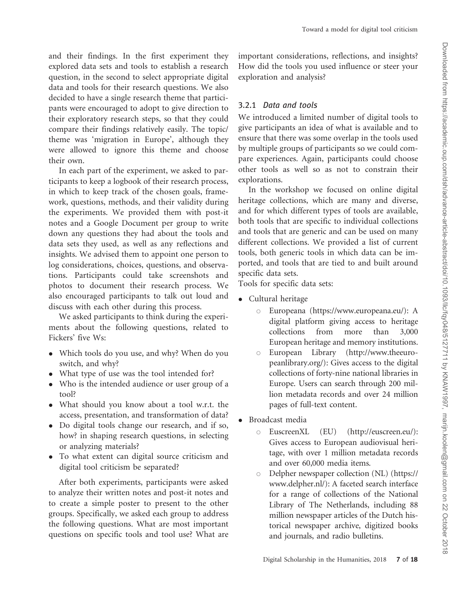and their findings. In the first experiment they explored data sets and tools to establish a research question, in the second to select appropriate digital data and tools for their research questions. We also decided to have a single research theme that participants were encouraged to adopt to give direction to their exploratory research steps, so that they could compare their findings relatively easily. The topic/ theme was 'migration in Europe', although they were allowed to ignore this theme and choose their own.

In each part of the experiment, we asked to participants to keep a logbook of their research process, in which to keep track of the chosen goals, framework, questions, methods, and their validity during the experiments. We provided them with post-it notes and a Google Document per group to write down any questions they had about the tools and data sets they used, as well as any reflections and insights. We advised them to appoint one person to log considerations, choices, questions, and observations. Participants could take screenshots and photos to document their research process. We also encouraged participants to talk out loud and discuss with each other during this process.

We asked participants to think during the experiments about the following questions, related to Fickers' five Ws:

- Which tools do you use, and why? When do you switch, and why?
- What type of use was the tool intended for?
- Who is the intended audience or user group of a tool?
- What should you know about a tool w.r.t. the access, presentation, and transformation of data?
- Do digital tools change our research, and if so, how? in shaping research questions, in selecting or analyzing materials?
- To what extent can digital source criticism and digital tool criticism be separated?

After both experiments, participants were asked to analyze their written notes and post-it notes and to create a simple poster to present to the other groups. Specifically, we asked each group to address the following questions. What are most important questions on specific tools and tool use? What are

important considerations, reflections, and insights? How did the tools you used influence or steer your exploration and analysis?

#### 3.2.1 Data and tools

We introduced a limited number of digital tools to give participants an idea of what is available and to ensure that there was some overlap in the tools used by multiple groups of participants so we could compare experiences. Again, participants could choose other tools as well so as not to constrain their explorations.

In the workshop we focused on online digital heritage collections, which are many and diverse, and for which different types of tools are available, both tools that are specific to individual collections and tools that are generic and can be used on many different collections. We provided a list of current tools, both generic tools in which data can be imported, and tools that are tied to and built around specific data sets.

Tools for specific data sets:

- Cultural heritage
	- $\circ$  Europeana ([https://www.europeana.eu/\)](https://www.europeana.eu/): A digital platform giving access to heritage collections from more than 3,000 European heritage and memory institutions.
	- $\circ$  European Library ([http://www.theeuro](http://www.theeuropeanlibrary.org/)[peanlibrary.org/\)](http://www.theeuropeanlibrary.org/): Gives access to the digital collections of forty-nine national libraries in Europe. Users can search through 200 million metadata records and over 24 million pages of full-text content.
- $\bullet$  Broadcast media
	- $\circ$  EuscreenXL (EU) [\(http://euscreen.eu/\)](http://euscreen.eu/): Gives access to European audiovisual heritage, with over 1 million metadata records and over 60,000 media items.
	- $\circ$  Delpher newspaper collection (NL) [\(https://](https://www.delpher.nl/) [www.delpher.nl/\)](https://www.delpher.nl/): A faceted search interface for a range of collections of the National Library of The Netherlands, including 88 million newspaper articles of the Dutch historical newspaper archive, digitized books and journals, and radio bulletins.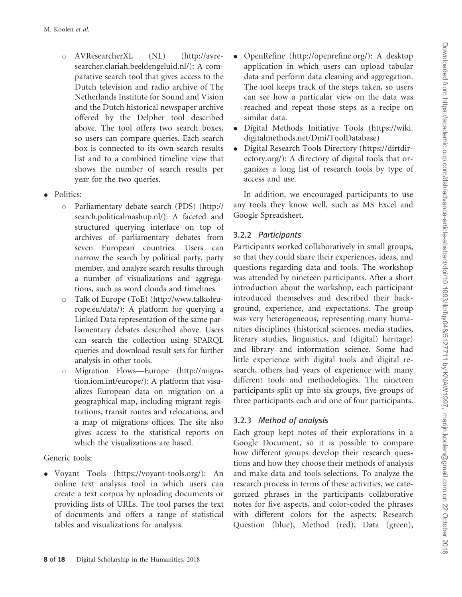- $\circ$  AVResearcherXL (NL) ([http://avre](http://avresearcher.clariah.beeldengeluid.nl/)[searcher.clariah.beeldengeluid.nl/\)](http://avresearcher.clariah.beeldengeluid.nl/): A comparative search tool that gives access to the Dutch television and radio archive of The Netherlands Institute for Sound and Vision and the Dutch historical newspaper archive offered by the Delpher tool described above. The tool offers two search boxes, so users can compare queries. Each search box is connected to its own search results list and to a combined timeline view that shows the number of search results per year for the two queries.
- Politics:
	- Parliamentary debate search (PDS) ([http://](http://search.politicalmashup.nl/) [search.politicalmashup.nl/\)](http://search.politicalmashup.nl/): A faceted and structured querying interface on top of archives of parliamentary debates from seven European countries. Users can narrow the search by political party, party member, and analyze search results through a number of visualizations and aggregations, such as word clouds and timelines.
	- Talk of Europe (ToE) ([http://www.talkofeu](http://www.talkofeurope.eu/data/)[rope.eu/data/](http://www.talkofeurope.eu/data/)): A platform for querying a Linked Data representation of the same parliamentary debates described above. Users can search the collection using SPARQL queries and download result sets for further analysis in other tools.
	- $\circ$  Migration Flows—Europe [\(http://migra](http://migration.iom.int/europe/)[tion.iom.int/europe/](http://migration.iom.int/europe/)): A platform that visualizes European data on migration on a geographical map, including migrant registrations, transit routes and relocations, and a map of migrations offices. The site also gives access to the statistical reports on which the visualizations are based.

#### Generic tools:

- Voyant Tools (<https://voyant-tools.org/>): An online text analysis tool in which users can create a text corpus by uploading documents or providing lists of URLs. The tool parses the text of documents and offers a range of statistical tables and visualizations for analysis.

- $\bullet$  OpenRefine (<http://openrefine.org/>): A desktop application in which users can upload tabular data and perform data cleaning and aggregation. The tool keeps track of the steps taken, so users can see how a particular view on the data was reached and repeat those steps as a recipe on similar data.
- $\bullet$  Digital Methods Initiative Tools [\(https://wiki.](https://wiki.digitalmethods.net/Dmi/ToolDatabase) [digitalmethods.net/Dmi/ToolDatabase](https://wiki.digitalmethods.net/Dmi/ToolDatabase))
- $\bullet$  Digital Research Tools Directory ([https://dirtdir](https://dirtdirectory.org/)[ectory.org/](https://dirtdirectory.org/)): A directory of digital tools that organizes a long list of research tools by type of access and use.

In addition, we encouraged participants to use any tools they know well, such as MS Excel and Google Spreadsheet.

### 3.2.2 Participants

Participants worked collaboratively in small groups, so that they could share their experiences, ideas, and questions regarding data and tools. The workshop was attended by nineteen participants. After a short introduction about the workshop, each participant introduced themselves and described their background, experience, and expectations. The group was very heterogeneous, representing many humanities disciplines (historical sciences, media studies, literary studies, linguistics, and (digital) heritage) and library and information science. Some had little experience with digital tools and digital research, others had years of experience with many different tools and methodologies. The nineteen participants split up into six groups, five groups of three participants each and one of four participants.

#### 3.2.3 Method of analysis

Each group kept notes of their explorations in a Google Document, so it is possible to compare how different groups develop their research questions and how they choose their methods of analysis and make data and tools selections. To analyze the research process in terms of these activities, we categorized phrases in the participants collaborative notes for five aspects, and color-coded the phrases with different colors for the aspects: Research Question (blue), Method (red), Data (green),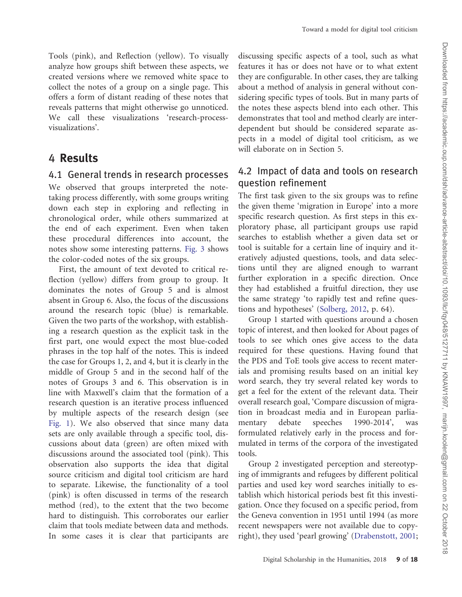Tools (pink), and Reflection (yellow). To visually analyze how groups shift between these aspects, we created versions where we removed white space to collect the notes of a group on a single page. This offers a form of distant reading of these notes that reveals patterns that might otherwise go unnoticed. We call these visualizations 'research-processvisualizations'.

## 4 Results

#### 4.1 General trends in research processes

We observed that groups interpreted the notetaking process differently, with some groups writing down each step in exploring and reflecting in chronological order, while others summarized at the end of each experiment. Even when taken these procedural differences into account, the notes show some interesting patterns. [Fig. 3](#page-9-0) shows the color-coded notes of the six groups.

First, the amount of text devoted to critical reflection (yellow) differs from group to group. It dominates the notes of Group 5 and is almost absent in Group 6. Also, the focus of the discussions around the research topic (blue) is remarkable. Given the two parts of the workshop, with establishing a research question as the explicit task in the first part, one would expect the most blue-coded phrases in the top half of the notes. This is indeed the case for Groups 1, 2, and 4, but it is clearly in the middle of Group 5 and in the second half of the notes of Groups 3 and 6. This observation is in line with Maxwell's claim that the formation of a research question is an iterative process influenced by multiple aspects of the research design (see [Fig. 1\)](#page-4-0). We also observed that since many data sets are only available through a specific tool, discussions about data (green) are often mixed with discussions around the associated tool (pink). This observation also supports the idea that digital source criticism and digital tool criticism are hard to separate. Likewise, the functionality of a tool (pink) is often discussed in terms of the research method (red), to the extent that the two become hard to distinguish. This corroborates our earlier claim that tools mediate between data and methods. In some cases it is clear that participants are discussing specific aspects of a tool, such as what features it has or does not have or to what extent they are configurable. In other cases, they are talking about a method of analysis in general without considering specific types of tools. But in many parts of the notes these aspects blend into each other. This demonstrates that tool and method clearly are interdependent but should be considered separate aspects in a model of digital tool criticism, as we will elaborate on in Section 5.

#### 4.2 Impact of data and tools on research question refinement

The first task given to the six groups was to refine the given theme 'migration in Europe' into a more specific research question. As first steps in this exploratory phase, all participant groups use rapid searches to establish whether a given data set or tool is suitable for a certain line of inquiry and iteratively adjusted questions, tools, and data selections until they are aligned enough to warrant further exploration in a specific direction. Once they had established a fruitful direction, they use the same strategy 'to rapidly test and refine questions and hypotheses' ([Solberg, 2012,](#page-16-0) p. 64).

Group 1 started with questions around a chosen topic of interest, and then looked for About pages of tools to see which ones give access to the data required for these questions. Having found that the PDS and ToE tools give access to recent materials and promising results based on an initial key word search, they try several related key words to get a feel for the extent of the relevant data. Their overall research goal, 'Compare discussion of migration in broadcast media and in European parliamentary debate speeches 1990-2014', was formulated relatively early in the process and formulated in terms of the corpora of the investigated tools.

Group 2 investigated perception and stereotyping of immigrants and refugees by different political parties and used key word searches initially to establish which historical periods best fit this investigation. Once they focused on a specific period, from the Geneva convention in 1951 until 1994 (as more recent newspapers were not available due to copyright), they used 'pearl growing' [\(Drabenstott, 2001](#page-16-0);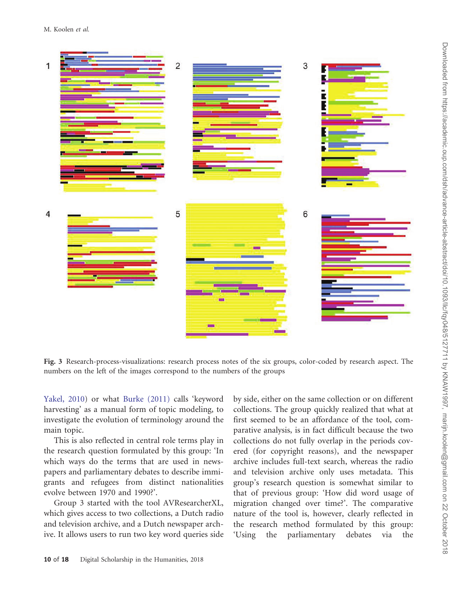<span id="page-9-0"></span>

Fig. 3 Research-process-visualizations: research process notes of the six groups, color-coded by research aspect. The numbers on the left of the images correspond to the numbers of the groups

[Yakel, 2010\)](#page-16-0) or what [Burke \(2011\)](#page-16-0) calls 'keyword harvesting' as a manual form of topic modeling, to investigate the evolution of terminology around the main topic.

This is also reflected in central role terms play in the research question formulated by this group: 'In which ways do the terms that are used in newspapers and parliamentary debates to describe immigrants and refugees from distinct nationalities evolve between 1970 and 1990?'.

Group 3 started with the tool AVResearcherXL, which gives access to two collections, a Dutch radio and television archive, and a Dutch newspaper archive. It allows users to run two key word queries side by side, either on the same collection or on different collections. The group quickly realized that what at first seemed to be an affordance of the tool, comparative analysis, is in fact difficult because the two collections do not fully overlap in the periods covered (for copyright reasons), and the newspaper archive includes full-text search, whereas the radio and television archive only uses metadata. This group's research question is somewhat similar to that of previous group: 'How did word usage of migration changed over time?'. The comparative nature of the tool is, however, clearly reflected in the research method formulated by this group: 'Using the parliamentary debates via the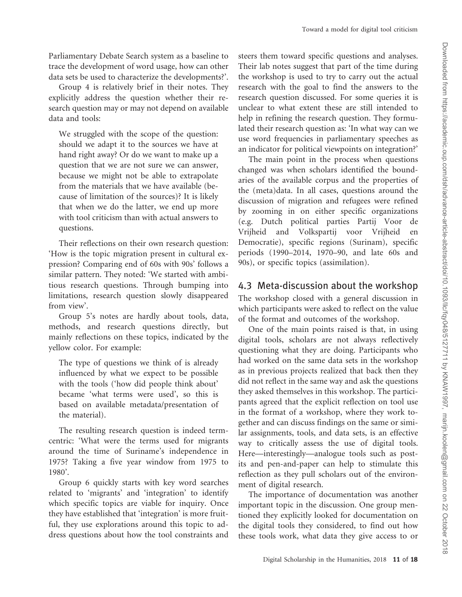Parliamentary Debate Search system as a baseline to trace the development of word usage, how can other data sets be used to characterize the developments?'.

Group 4 is relatively brief in their notes. They explicitly address the question whether their research question may or may not depend on available data and tools:

We struggled with the scope of the question: should we adapt it to the sources we have at hand right away? Or do we want to make up a question that we are not sure we can answer, because we might not be able to extrapolate from the materials that we have available (because of limitation of the sources)? It is likely that when we do the latter, we end up more with tool criticism than with actual answers to questions.

Their reflections on their own research question: 'How is the topic migration present in cultural expression? Comparing end of 60s with 90s' follows a similar pattern. They noted: 'We started with ambitious research questions. Through bumping into limitations, research question slowly disappeared from view'.

Group 5's notes are hardly about tools, data, methods, and research questions directly, but mainly reflections on these topics, indicated by the yellow color. For example:

The type of questions we think of is already influenced by what we expect to be possible with the tools ('how did people think about' became 'what terms were used', so this is based on available metadata/presentation of the material).

The resulting research question is indeed termcentric: 'What were the terms used for migrants around the time of Suriname's independence in 1975? Taking a five year window from 1975 to 1980'.

Group 6 quickly starts with key word searches related to 'migrants' and 'integration' to identify which specific topics are viable for inquiry. Once they have established that 'integration' is more fruitful, they use explorations around this topic to address questions about how the tool constraints and

steers them toward specific questions and analyses. Their lab notes suggest that part of the time during the workshop is used to try to carry out the actual research with the goal to find the answers to the research question discussed. For some queries it is unclear to what extent these are still intended to help in refining the research question. They formulated their research question as: 'In what way can we use word frequencies in parliamentary speeches as an indicator for political viewpoints on integration?'

The main point in the process when questions changed was when scholars identified the boundaries of the available corpus and the properties of the (meta)data. In all cases, questions around the discussion of migration and refugees were refined by zooming in on either specific organizations (e.g. Dutch political parties Partij Voor de Vrijheid and Volkspartij voor Vrijheid en Democratie), specific regions (Surinam), specific periods (1990–2014, 1970–90, and late 60s and 90s), or specific topics (assimilation).

#### 4.3 Meta-discussion about the workshop

The workshop closed with a general discussion in which participants were asked to reflect on the value of the format and outcomes of the workshop.

One of the main points raised is that, in using digital tools, scholars are not always reflectively questioning what they are doing. Participants who had worked on the same data sets in the workshop as in previous projects realized that back then they did not reflect in the same way and ask the questions they asked themselves in this workshop. The participants agreed that the explicit reflection on tool use in the format of a workshop, where they work together and can discuss findings on the same or similar assignments, tools, and data sets, is an effective way to critically assess the use of digital tools. Here—interestingly—analogue tools such as postits and pen-and-paper can help to stimulate this reflection as they pull scholars out of the environment of digital research.

The importance of documentation was another important topic in the discussion. One group mentioned they explicitly looked for documentation on the digital tools they considered, to find out how these tools work, what data they give access to or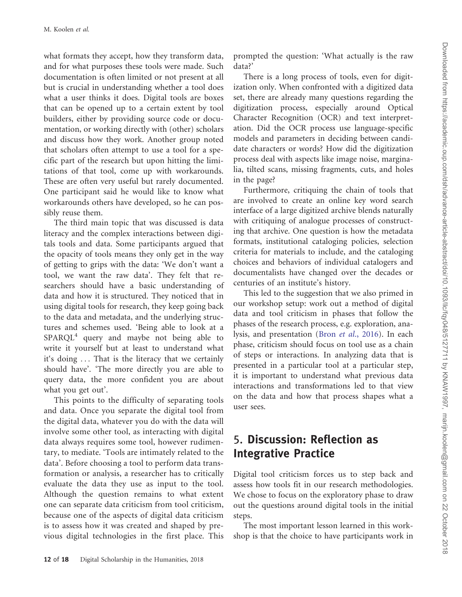what formats they accept, how they transform data, and for what purposes these tools were made. Such documentation is often limited or not present at all but is crucial in understanding whether a tool does what a user thinks it does. Digital tools are boxes that can be opened up to a certain extent by tool builders, either by providing source code or documentation, or working directly with (other) scholars and discuss how they work. Another group noted that scholars often attempt to use a tool for a specific part of the research but upon hitting the limitations of that tool, come up with workarounds. These are often very useful but rarely documented. One participant said he would like to know what workarounds others have developed, so he can possibly reuse them.

The third main topic that was discussed is data literacy and the complex interactions between digitals tools and data. Some participants argued that the opacity of tools means they only get in the way of getting to grips with the data: 'We don't want a tool, we want the raw data'. They felt that researchers should have a basic understanding of data and how it is structured. They noticed that in using digital tools for research, they keep going back to the data and metadata, and the underlying structures and schemes used. 'Being able to look at a SPARQL<sup>4</sup> query and maybe not being able to write it yourself but at least to understand what it's doing ... That is the literacy that we certainly should have'. 'The more directly you are able to query data, the more confident you are about what you get out'.

This points to the difficulty of separating tools and data. Once you separate the digital tool from the digital data, whatever you do with the data will involve some other tool, as interacting with digital data always requires some tool, however rudimentary, to mediate. 'Tools are intimately related to the data'. Before choosing a tool to perform data transformation or analysis, a researcher has to critically evaluate the data they use as input to the tool. Although the question remains to what extent one can separate data criticism from tool criticism, because one of the aspects of digital data criticism is to assess how it was created and shaped by previous digital technologies in the first place. This

prompted the question: 'What actually is the raw data?'

There is a long process of tools, even for digitization only. When confronted with a digitized data set, there are already many questions regarding the digitization process, especially around Optical Character Recognition (OCR) and text interpretation. Did the OCR process use language-specific models and parameters in deciding between candidate characters or words? How did the digitization process deal with aspects like image noise, marginalia, tilted scans, missing fragments, cuts, and holes in the page?

Furthermore, critiquing the chain of tools that are involved to create an online key word search interface of a large digitized archive blends naturally with critiquing of analogue processes of constructing that archive. One question is how the metadata formats, institutional cataloging policies, selection criteria for materials to include, and the cataloging choices and behaviors of individual catalogers and documentalists have changed over the decades or centuries of an institute's history.

This led to the suggestion that we also primed in our workshop setup: work out a method of digital data and tool criticism in phases that follow the phases of the research process, e.g. exploration, analysis, and presentation (Bron et al[., 2016](#page-16-0)). In each phase, criticism should focus on tool use as a chain of steps or interactions. In analyzing data that is presented in a particular tool at a particular step, it is important to understand what previous data interactions and transformations led to that view on the data and how that process shapes what a user sees.

# 5. Discussion: Reflection as Integrative Practice

Digital tool criticism forces us to step back and assess how tools fit in our research methodologies. We chose to focus on the exploratory phase to draw out the questions around digital tools in the initial steps.

The most important lesson learned in this workshop is that the choice to have participants work in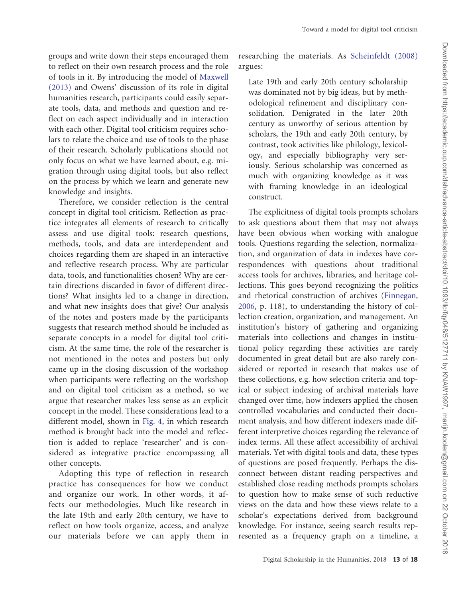groups and write down their steps encouraged them to reflect on their own research process and the role of tools in it. By introducing the model of [Maxwell](#page-16-0) [\(2013\)](#page-16-0) and Owens' discussion of its role in digital humanities research, participants could easily separate tools, data, and methods and question and reflect on each aspect individually and in interaction with each other. Digital tool criticism requires scholars to relate the choice and use of tools to the phase of their research. Scholarly publications should not only focus on what we have learned about, e.g. migration through using digital tools, but also reflect on the process by which we learn and generate new knowledge and insights.

Therefore, we consider reflection is the central concept in digital tool criticism. Reflection as practice integrates all elements of research to critically assess and use digital tools: research questions, methods, tools, and data are interdependent and choices regarding them are shaped in an interactive and reflective research process. Why are particular data, tools, and functionalities chosen? Why are certain directions discarded in favor of different directions? What insights led to a change in direction, and what new insights does that give? Our analysis of the notes and posters made by the participants suggests that research method should be included as separate concepts in a model for digital tool criticism. At the same time, the role of the researcher is not mentioned in the notes and posters but only came up in the closing discussion of the workshop when participants were reflecting on the workshop and on digital tool criticism as a method, so we argue that researcher makes less sense as an explicit concept in the model. These considerations lead to a different model, shown in [Fig. 4,](#page-13-0) in which research method is brought back into the model and reflection is added to replace 'researcher' and is considered as integrative practice encompassing all other concepts.

Adopting this type of reflection in research practice has consequences for how we conduct and organize our work. In other words, it affects our methodologies. Much like research in the late 19th and early 20th century, we have to reflect on how tools organize, access, and analyze our materials before we can apply them in

researching the materials. As [Scheinfeldt \(2008\)](#page-16-0) argues:

Late 19th and early 20th century scholarship was dominated not by big ideas, but by methodological refinement and disciplinary consolidation. Denigrated in the later 20th century as unworthy of serious attention by scholars, the 19th and early 20th century, by contrast, took activities like philology, lexicology, and especially bibliography very seriously. Serious scholarship was concerned as much with organizing knowledge as it was with framing knowledge in an ideological construct.

The explicitness of digital tools prompts scholars to ask questions about them that may not always have been obvious when working with analogue tools. Questions regarding the selection, normalization, and organization of data in indexes have correspondences with questions about traditional access tools for archives, libraries, and heritage collections. This goes beyond recognizing the politics and rhetorical construction of archives [\(Finnegan,](#page-16-0) [2006,](#page-16-0) p. 118), to understanding the history of collection creation, organization, and management. An institution's history of gathering and organizing materials into collections and changes in institutional policy regarding these activities are rarely documented in great detail but are also rarely considered or reported in research that makes use of these collections, e.g. how selection criteria and topical or subject indexing of archival materials have changed over time, how indexers applied the chosen controlled vocabularies and conducted their document analysis, and how different indexers made different interpretive choices regarding the relevance of index terms. All these affect accessibility of archival materials. Yet with digital tools and data, these types of questions are posed frequently. Perhaps the disconnect between distant reading perspectives and established close reading methods prompts scholars to question how to make sense of such reductive views on the data and how these views relate to a scholar's expectations derived from background knowledge. For instance, seeing search results represented as a frequency graph on a timeline, a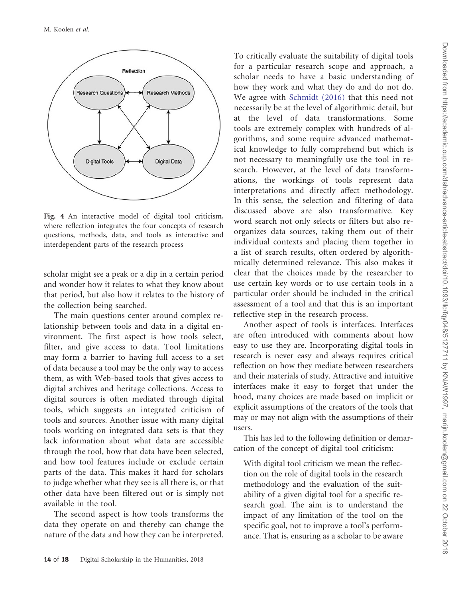Downloaded from https://academic.oup.com/dsh/advance-article-abstract/doi/10.1093/llc/fqy048/5127711 by KNAW1997, marijn.koolen@gmail.com on 22 October 2018 Downloaded from https://academic.oup.com/dsh/advance-article-abstract/doi/10.1093/llc/fqy048/5127711 by KNAW1997, marijn.koolen@gmail.com on 22 October 2018

<span id="page-13-0"></span>

Fig. 4 An interactive model of digital tool criticism, where reflection integrates the four concepts of research questions, methods, data, and tools as interactive and interdependent parts of the research process

scholar might see a peak or a dip in a certain period and wonder how it relates to what they know about that period, but also how it relates to the history of the collection being searched.

The main questions center around complex relationship between tools and data in a digital environment. The first aspect is how tools select, filter, and give access to data. Tool limitations may form a barrier to having full access to a set of data because a tool may be the only way to access them, as with Web-based tools that gives access to digital archives and heritage collections. Access to digital sources is often mediated through digital tools, which suggests an integrated criticism of tools and sources. Another issue with many digital tools working on integrated data sets is that they lack information about what data are accessible through the tool, how that data have been selected, and how tool features include or exclude certain parts of the data. This makes it hard for scholars to judge whether what they see is all there is, or that other data have been filtered out or is simply not available in the tool.

The second aspect is how tools transforms the data they operate on and thereby can change the nature of the data and how they can be interpreted.

To critically evaluate the suitability of digital tools for a particular research scope and approach, a scholar needs to have a basic understanding of how they work and what they do and do not do. We agree with [Schmidt \(2016\)](#page-16-0) that this need not necessarily be at the level of algorithmic detail, but at the level of data transformations. Some tools are extremely complex with hundreds of algorithms, and some require advanced mathematical knowledge to fully comprehend but which is not necessary to meaningfully use the tool in research. However, at the level of data transformations, the workings of tools represent data interpretations and directly affect methodology. In this sense, the selection and filtering of data discussed above are also transformative. Key word search not only selects or filters but also reorganizes data sources, taking them out of their individual contexts and placing them together in a list of search results, often ordered by algorithmically determined relevance. This also makes it clear that the choices made by the researcher to use certain key words or to use certain tools in a particular order should be included in the critical assessment of a tool and that this is an important reflective step in the research process.

Another aspect of tools is interfaces. Interfaces are often introduced with comments about how easy to use they are. Incorporating digital tools in research is never easy and always requires critical reflection on how they mediate between researchers and their materials of study. Attractive and intuitive interfaces make it easy to forget that under the hood, many choices are made based on implicit or explicit assumptions of the creators of the tools that may or may not align with the assumptions of their users.

This has led to the following definition or demarcation of the concept of digital tool criticism:

With digital tool criticism we mean the reflection on the role of digital tools in the research methodology and the evaluation of the suitability of a given digital tool for a specific research goal. The aim is to understand the impact of any limitation of the tool on the specific goal, not to improve a tool's performance. That is, ensuring as a scholar to be aware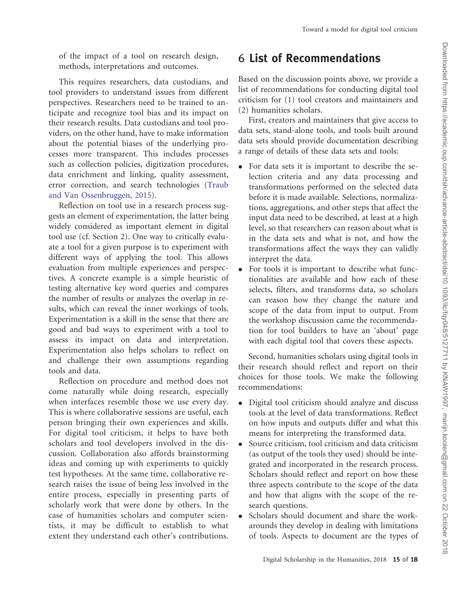of the impact of a tool on research design, methods, interpretations and outcomes.

This requires researchers, data custodians, and tool providers to understand issues from different perspectives. Researchers need to be trained to anticipate and recognize tool bias and its impact on their research results. Data custodians and tool providers, on the other hand, have to make information about the potential biases of the underlying processes more transparent. This includes processes such as collection policies, digitization procedures, data enrichment and linking, quality assessment, error correction, and search technologies ([Traub](#page-16-0) [and Van Ossenbruggen, 2015](#page-16-0)).

Reflection on tool use in a research process suggests an element of experimentation, the latter being widely considered as important element in digital tool use (cf. Section 2). One way to critically evaluate a tool for a given purpose is to experiment with different ways of applying the tool. This allows evaluation from multiple experiences and perspectives. A concrete example is a simple heuristic of testing alternative key word queries and compares the number of results or analyzes the overlap in results, which can reveal the inner workings of tools. Experimentation is a skill in the sense that there are good and bad ways to experiment with a tool to assess its impact on data and interpretation. Experimentation also helps scholars to reflect on and challenge their own assumptions regarding tools and data.

Reflection on procedure and method does not come naturally while doing research, especially when interfaces resemble those we use every day. This is where collaborative sessions are useful, each person bringing their own experiences and skills. For digital tool criticism, it helps to have both scholars and tool developers involved in the discussion. Collaboration also affords brainstorming ideas and coming up with experiments to quickly test hypotheses. At the same time, collaborative research raises the issue of being less involved in the entire process, especially in presenting parts of scholarly work that were done by others. In the case of humanities scholars and computer scientists, it may be difficult to establish to what extent they understand each other's contributions.

# 6 List of Recommendations

Based on the discussion points above, we provide a list of recommendations for conducting digital tool criticism for (1) tool creators and maintainers and (2) humanities scholars.

First, creators and maintainers that give access to data sets, stand-alone tools, and tools built around data sets should provide documentation describing a range of details of these data sets and tools:

- For data sets it is important to describe the selection criteria and any data processing and transformations performed on the selected data before it is made available. Selections, normalizations, aggregations, and other steps that affect the input data need to be described, at least at a high level, so that researchers can reason about what is in the data sets and what is not, and how the transformations affect the ways they can validly interpret the data.
- $\bullet$  For tools it is important to describe what functionalities are available and how each of these selects, filters, and transforms data, so scholars can reason how they change the nature and scope of the data from input to output. From the workshop discussion came the recommendation for tool builders to have an 'about' page with each digital tool that covers these aspects.

Second, humanities scholars using digital tools in their research should reflect and report on their choices for those tools. We make the following recommendations:

- Digital tool criticism should analyze and discuss tools at the level of data transformations. Reflect on how inputs and outputs differ and what this means for interpreting the transformed data.
- $\bullet$  Source criticism, tool criticism and data criticism (as output of the tools they used) should be integrated and incorporated in the research process. Scholars should reflect and report on how these three aspects contribute to the scope of the data and how that aligns with the scope of the research questions.
- $\bullet$  Scholars should document and share the workarounds they develop in dealing with limitations of tools. Aspects to document are the types of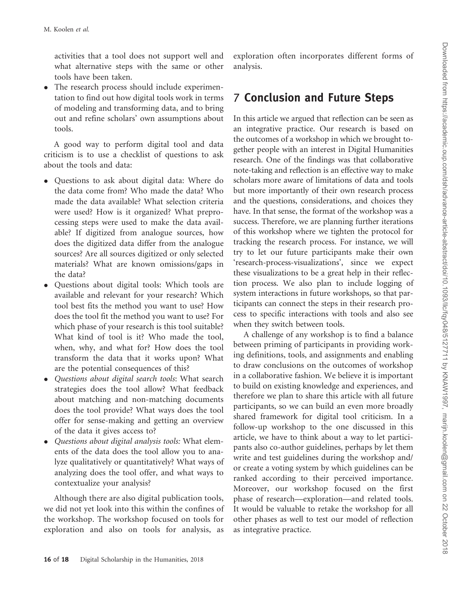activities that a tool does not support well and what alternative steps with the same or other tools have been taken.

- The research process should include experimentation to find out how digital tools work in terms of modeling and transforming data, and to bring out and refine scholars' own assumptions about tools.

A good way to perform digital tool and data criticism is to use a checklist of questions to ask about the tools and data:

- $\bullet$  Questions to ask about digital data: Where do the data come from? Who made the data? Who made the data available? What selection criteria were used? How is it organized? What preprocessing steps were used to make the data available? If digitized from analogue sources, how does the digitized data differ from the analogue sources? Are all sources digitized or only selected materials? What are known omissions/gaps in the data?
- $\bullet$  Questions about digital tools: Which tools are available and relevant for your research? Which tool best fits the method you want to use? How does the tool fit the method you want to use? For which phase of your research is this tool suitable? What kind of tool is it? Who made the tool, when, why, and what for? How does the tool transform the data that it works upon? What are the potential consequences of this?
- Questions about digital search tools: What search strategies does the tool allow? What feedback about matching and non-matching documents does the tool provide? What ways does the tool offer for sense-making and getting an overview of the data it gives access to?
- Questions about digital analysis tools: What elements of the data does the tool allow you to analyze qualitatively or quantitatively? What ways of analyzing does the tool offer, and what ways to contextualize your analysis?

Although there are also digital publication tools, we did not yet look into this within the confines of the workshop. The workshop focused on tools for exploration and also on tools for analysis, as

exploration often incorporates different forms of analysis.

# 7 Conclusion and Future Steps

In this article we argued that reflection can be seen as an integrative practice. Our research is based on the outcomes of a workshop in which we brought together people with an interest in Digital Humanities research. One of the findings was that collaborative note-taking and reflection is an effective way to make scholars more aware of limitations of data and tools but more importantly of their own research process and the questions, considerations, and choices they have. In that sense, the format of the workshop was a success. Therefore, we are planning further iterations of this workshop where we tighten the protocol for tracking the research process. For instance, we will try to let our future participants make their own 'research-process-visualizations', since we expect these visualizations to be a great help in their reflection process. We also plan to include logging of system interactions in future workshops, so that participants can connect the steps in their research process to specific interactions with tools and also see when they switch between tools.

A challenge of any workshop is to find a balance between priming of participants in providing working definitions, tools, and assignments and enabling to draw conclusions on the outcomes of workshop in a collaborative fashion. We believe it is important to build on existing knowledge and experiences, and therefore we plan to share this article with all future participants, so we can build an even more broadly shared framework for digital tool criticism. In a follow-up workshop to the one discussed in this article, we have to think about a way to let participants also co-author guidelines, perhaps by let them write and test guidelines during the workshop and/ or create a voting system by which guidelines can be ranked according to their perceived importance. Moreover, our workshop focused on the first phase of research—exploration—and related tools. It would be valuable to retake the workshop for all other phases as well to test our model of reflection as integrative practice.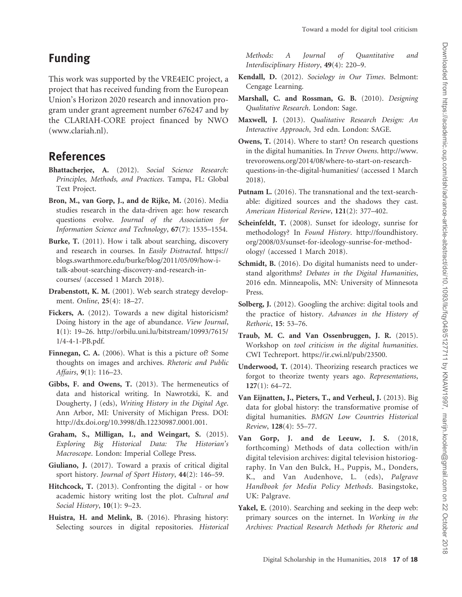# <span id="page-16-0"></span>Funding

This work was supported by the VRE4EIC project, a project that has received funding from the European Union's Horizon 2020 research and innovation program under grant agreement number 676247 and by the CLARIAH-CORE project financed by NWO [\(www.clariah.nl](http://www.clariah.nl)).

# References

- Bhattacherjee, A. (2012). Social Science Research: Principles, Methods, and Practices. Tampa, FL: Global Text Project.
- Bron, M., van Gorp, J., and de Rijke, M. (2016). Media studies research in the data-driven age: how research questions evolve. Journal of the Association for Information Science and Technology, 67(7): 1535–1554.
- Burke, T. (2011). How i talk about searching, discovery and research in courses. In Easily Distracted. [https://](https://blogs.swarthmore.edu/burke/blog/2011/05/09/how-i-talk-about-searching-discovery-and-research-in-courses/) [blogs.swarthmore.edu/burke/blog/2011/05/09/how-i](https://blogs.swarthmore.edu/burke/blog/2011/05/09/how-i-talk-about-searching-discovery-and-research-in-courses/)[talk-about-searching-discovery-and-research-in](https://blogs.swarthmore.edu/burke/blog/2011/05/09/how-i-talk-about-searching-discovery-and-research-in-courses/)[courses/](https://blogs.swarthmore.edu/burke/blog/2011/05/09/how-i-talk-about-searching-discovery-and-research-in-courses/) (accessed 1 March 2018).
- Drabenstott, K. M. (2001). Web search strategy development. Online, 25(4): 18–27.
- Fickers, A. (2012). Towards a new digital historicism? Doing history in the age of abundance. View Journal, 1(1): 19–26. [http://orbilu.uni.lu/bitstream/10993/7615/](http://orbilu.uni.lu/bitstream/10993/7615/1/4-4-1-PB.pdf) [1/4-4-1-PB.pdf](http://orbilu.uni.lu/bitstream/10993/7615/1/4-4-1-PB.pdf).
- Finnegan, C. A. (2006). What is this a picture of? Some thoughts on images and archives. Rhetoric and Public Affairs, 9(1): 116–23.
- Gibbs, F. and Owens, T. (2013). The hermeneutics of data and historical writing. In Nawrotzki, K. and Dougherty, J (eds), Writing History in the Digital Age. Ann Arbor, MI: University of Michigan Press. DOI: http://dx.doi.org/10.3998/dh.12230987.0001.001.
- Graham, S., Milligan, I., and Weingart, S. (2015). Exploring Big Historical Data: The Historian's Macroscope. London: Imperial College Press.
- Giuliano, J. (2017). Toward a praxis of critical digital sport history. Journal of Sport History, 44(2): 146-59.
- Hitchcock, T. (2013). Confronting the digital or how academic history writing lost the plot. Cultural and Social History, 10(1): 9–23.
- Huistra, H. and Melink, B. (2016). Phrasing history: Selecting sources in digital repositories. Historical

Methods: A Journal of Quantitative and Interdisciplinary History, 49(4): 220–9.

- Kendall, D. (2012). Sociology in Our Times. Belmont: Cengage Learning.
- Marshall, C. and Rossman, G. B. (2010). Designing Qualitative Research. London: Sage.
- Maxwell, J. (2013). Qualitative Research Design: An Interactive Approach, 3rd edn. London: SAGE.
- Owens, T. (2014). Where to start? On research questions in the digital humanities. In Trevor Owens. [http://www.](http://www.trevorowens.org/2014/08/where-to-start-on-research-questions-in-the-digital-humanities/) [trevorowens.org/2014/08/where-to-start-on-research](http://www.trevorowens.org/2014/08/where-to-start-on-research-questions-in-the-digital-humanities/)[questions-in-the-digital-humanities/](http://www.trevorowens.org/2014/08/where-to-start-on-research-questions-in-the-digital-humanities/) (accessed 1 March 2018).
- Putnam L. (2016). The transnational and the text-searchable: digitized sources and the shadows they cast. American Historical Review, 121(2): 377–402.
- Scheinfeldt, T. (2008). Sunset for ideology, sunrise for methodology? In Found History. [http://foundhistory.](http://foundhistory.org/2008/03/sunset-for-ideology-sunrise-for-methodology/) [org/2008/03/sunset-for-ideology-sunrise-for-method](http://foundhistory.org/2008/03/sunset-for-ideology-sunrise-for-methodology/)[ology/](http://foundhistory.org/2008/03/sunset-for-ideology-sunrise-for-methodology/) (accessed 1 March 2018).
- Schmidt, B. (2016). Do digital humanists need to understand algorithms? Debates in the Digital Humanities, 2016 edn. Minneapolis, MN: University of Minnesota Press.
- Solberg, J. (2012). Googling the archive: digital tools and the practice of history. Advances in the History of Rethoric, 15: 53–76.
- Traub, M. C. and Van Ossenbruggen, J. R. (2015). Workshop on tool criticism in the digital humanities. CWI Techreport.<https://ir.cwi.nl/pub/23500>.
- Underwood, T. (2014). Theorizing research practices we forgot to theorize twenty years ago. Representations, 127(1): 64–72.
- Van Eijnatten, J., Pieters, T., and Verheul, J. (2013). Big data for global history: the transformative promise of digital humanities. BMGN Low Countries Historical Review, 128(4): 55–77.
- Van Gorp, J. and de Leeuw, J. S. (2018, forthcoming) Methods of data collection with/in digital television archives: digital television historiography. In Van den Bulck, H., Puppis, M., Donders, K., and Van Audenhove, L. (eds), Palgrave Handbook for Media Policy Methods. Basingstoke, UK: Palgrave.
- Yakel, E. (2010). Searching and seeking in the deep web: primary sources on the internet. In Working in the Archives: Practical Research Methods for Rhetoric and